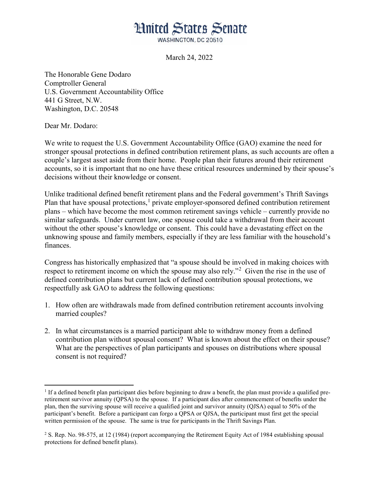## **Hnited States Senate**

WASHINGTON, DC 20510

March 24, 2022

The Honorable Gene Dodaro Comptroller General U.S. Government Accountability Office 441 G Street, N.W. Washington, D.C. 20548

Dear Mr. Dodaro:

l

We write to request the U.S. Government Accountability Office (GAO) examine the need for stronger spousal protections in defined contribution retirement plans, as such accounts are often a couple's largest asset aside from their home. People plan their futures around their retirement accounts, so it is important that no one have these critical resources undermined by their spouse's decisions without their knowledge or consent.

Unlike traditional defined benefit retirement plans and the Federal government's Thrift Savings Plan that have spousal protections,<sup>[1](#page-0-0)</sup> private employer-sponsored defined contribution retirement plans – which have become the most common retirement savings vehicle – currently provide no similar safeguards. Under current law, one spouse could take a withdrawal from their account without the other spouse's knowledge or consent. This could have a devastating effect on the unknowing spouse and family members, especially if they are less familiar with the household's finances.

Congress has historically emphasized that "a spouse should be involved in making choices with respect to retirement income on which the spouse may also rely."<sup>[2](#page-0-1)</sup> Given the rise in the use of defined contribution plans but current lack of defined contribution spousal protections, we respectfully ask GAO to address the following questions:

- 1. How often are withdrawals made from defined contribution retirement accounts involving married couples?
- 2. In what circumstances is a married participant able to withdraw money from a defined contribution plan without spousal consent? What is known about the effect on their spouse? What are the perspectives of plan participants and spouses on distributions where spousal consent is not required?

<span id="page-0-0"></span> $<sup>1</sup>$  If a defined benefit plan participant dies before beginning to draw a benefit, the plan must provide a qualified pre-</sup> retirement survivor annuity (QPSA) to the spouse. If a participant dies after commencement of benefits under the plan, then the surviving spouse will receive a qualified joint and survivor annuity (QJSA) equal to 50% of the participant's benefit. Before a participant can forgo a QPSA or QJSA, the participant must first get the special written permission of the spouse. The same is true for participants in the Thrift Savings Plan.

<span id="page-0-1"></span><sup>&</sup>lt;sup>2</sup> S. Rep. No. 98-575, at 12 (1984) (report accompanying the Retirement Equity Act of 1984 establishing spousal protections for defined benefit plans).